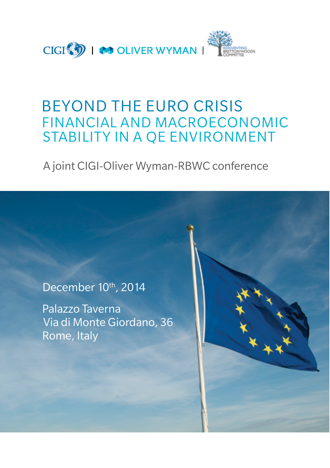

# BEYOND THE EURO CRISIS FINANCIAL AND MACROECONOMIC STABILITY IN A QE ENVIRONMENT

## A joint CIGI-Oliver Wyman-RBWC conference

December 10th, 2014

Palazzo Taverna Via di Monte Giordano, 36 Rome, Italy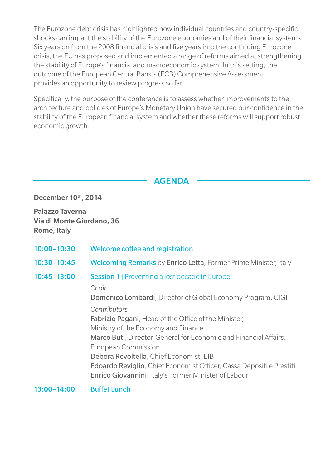The Eurozone debt crisis has highlighted how individual countries and country-specific shocks can impact the stability of the Eurozone economies and of their financial systems. Six years on from the 2008 financial crisis and five years into the continuing Eurozone crisis, the EU has proposed and implemented a range of reforms aimed at strengthening the stability of Europe's financial and macroeconomic system. In this setting, the outcome of the European Central Bank's (ECB) Comprehensive Assessment provides an opportunity to review progress so far.

Specifically, the purpose of the conference is to assess whether improvements to the architecture and policies of Europe's Monetary Union have secured our confidence in the stability of the European financial system and whether these reforms will support robust economic growth.

AGENDA

December 10th, 2014

Palazzo Taverna Via di Monte Giordano, 36 Rome, Italy

| $10:00 - 10:30$ | Welcome coffee and registration                                                                                                                                                                                                                                                                                                                                                                                                                                                                             |
|-----------------|-------------------------------------------------------------------------------------------------------------------------------------------------------------------------------------------------------------------------------------------------------------------------------------------------------------------------------------------------------------------------------------------------------------------------------------------------------------------------------------------------------------|
| $10:30 - 10:45$ | <b>Welcoming Remarks</b> by <b>Enrico Letta</b> , Former Prime Minister, Italy                                                                                                                                                                                                                                                                                                                                                                                                                              |
| $10:45 - 13:00$ | Session 1   Preventing a lost decade in Europe<br>Chair<br>Domenico Lombardi, Director of Global Economy Program, CIGI<br>Contributors<br>Fabrizio Pagani, Head of the Office of the Minister,<br>Ministry of the Economy and Finance<br>Marco Buti, Director-General for Economic and Financial Affairs,<br>European Commission<br>Debora Revoltella, Chief Economist, EIB<br>Edoardo Reviglio, Chief Economist Officer, Cassa Depositi e Prestiti<br>Enrico Giovannini, Italy's Former Minister of Labour |
|                 |                                                                                                                                                                                                                                                                                                                                                                                                                                                                                                             |

13:00–14:00 Buffet Lunch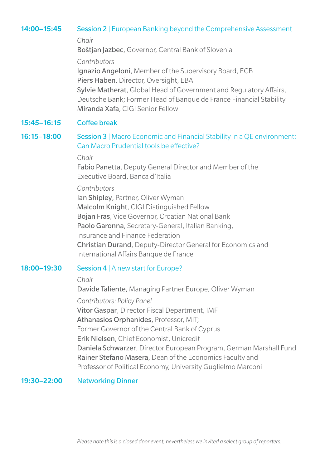#### 14:00–15:45 Session 2 | European Banking beyond the Comprehensive Assessment

*Chair*

Boštjan Jazbec, Governor, Central Bank of Slovenia

*Contributors*

Ignazio Angeloni, Member of the Supervisory Board, ECB Piers Haben, Director, Oversight, EBA Sylvie Matherat, Global Head of Government and Regulatory Affairs, Deutsche Bank; Former Head of Banque de France Financial Stability Miranda Xafa, CIGI Senior Fellow

### 15:45–16:15 Coffee break

#### 16:15-18:00 Session 3 | Macro Economic and Financial Stability in a QE environment: Can Macro Prudential tools be effective?

#### *Chair*

 Fabio Panetta, Deputy General Director and Member of the Executive Board, Banca d'Italia

#### *Contributors*

Ian Shipley, Partner, Oliver Wyman Malcolm Knight, CIGI Distinguished Fellow Bojan Fras, Vice Governor, Croatian National Bank Paolo Garonna, Secretary-General, Italian Banking, Insurance and Finance Federation Christian Durand, Deputy-Director General for Economics and International Affairs Banque de France

#### 18:00–19:30 Session 4 | A new start for Europe?

#### *Chair*

Davide Taliente, Managing Partner Europe, Oliver Wyman

*Contributors: Policy Panel*

Vitor Gaspar, Director Fiscal Department, IMF

Athanasios Orphanides, Professor, MIT;

Former Governor of the Central Bank of Cyprus

Erik Nielsen, Chief Economist, Unicredit

Daniela Schwarzer, Director European Program, German Marshall Fund Rainer Stefano Masera, Dean of the Economics Faculty and Professor of Political Economy, University Guglielmo Marconi

#### 19:30–22:00 Networking Dinner